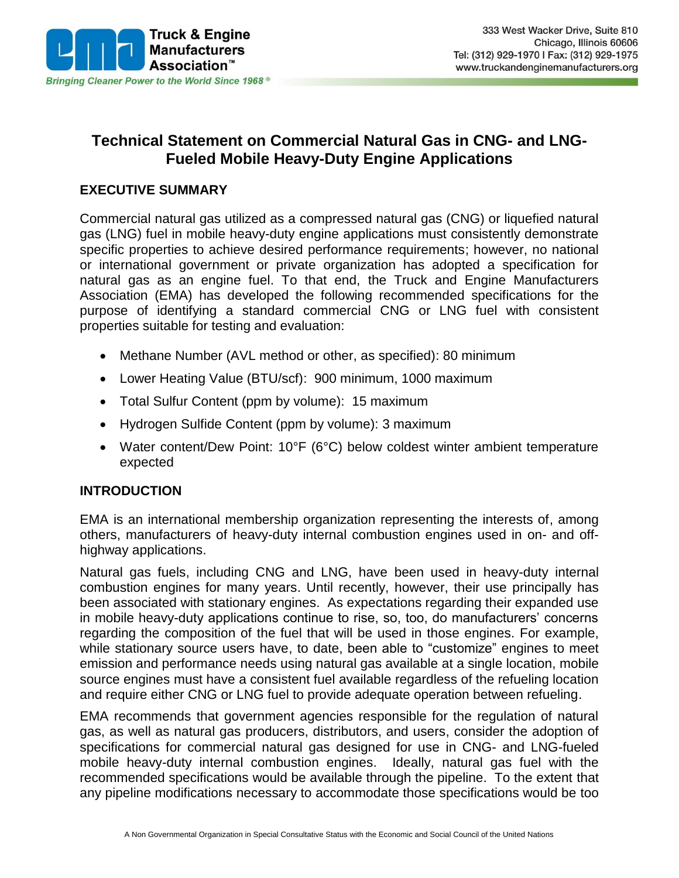

# **Technical Statement on Commercial Natural Gas in CNG- and LNG-Fueled Mobile Heavy-Duty Engine Applications**

#### **EXECUTIVE SUMMARY**

Commercial natural gas utilized as a compressed natural gas (CNG) or liquefied natural gas (LNG) fuel in mobile heavy-duty engine applications must consistently demonstrate specific properties to achieve desired performance requirements; however, no national or international government or private organization has adopted a specification for natural gas as an engine fuel. To that end, the Truck and Engine Manufacturers Association (EMA) has developed the following recommended specifications for the purpose of identifying a standard commercial CNG or LNG fuel with consistent properties suitable for testing and evaluation:

- Methane Number (AVL method or other, as specified): 80 minimum
- Lower Heating Value (BTU/scf): 900 minimum, 1000 maximum
- Total Sulfur Content (ppm by volume): 15 maximum
- Hydrogen Sulfide Content (ppm by volume): 3 maximum
- Water content/Dew Point: 10°F (6°C) below coldest winter ambient temperature expected

#### **INTRODUCTION**

EMA is an international membership organization representing the interests of, among others, manufacturers of heavy-duty internal combustion engines used in on- and offhighway applications.

Natural gas fuels, including CNG and LNG, have been used in heavy-duty internal combustion engines for many years. Until recently, however, their use principally has been associated with stationary engines. As expectations regarding their expanded use in mobile heavy-duty applications continue to rise, so, too, do manufacturers' concerns regarding the composition of the fuel that will be used in those engines. For example, while stationary source users have, to date, been able to "customize" engines to meet emission and performance needs using natural gas available at a single location, mobile source engines must have a consistent fuel available regardless of the refueling location and require either CNG or LNG fuel to provide adequate operation between refueling.

EMA recommends that government agencies responsible for the regulation of natural gas, as well as natural gas producers, distributors, and users, consider the adoption of specifications for commercial natural gas designed for use in CNG- and LNG-fueled mobile heavy-duty internal combustion engines. Ideally, natural gas fuel with the recommended specifications would be available through the pipeline. To the extent that any pipeline modifications necessary to accommodate those specifications would be too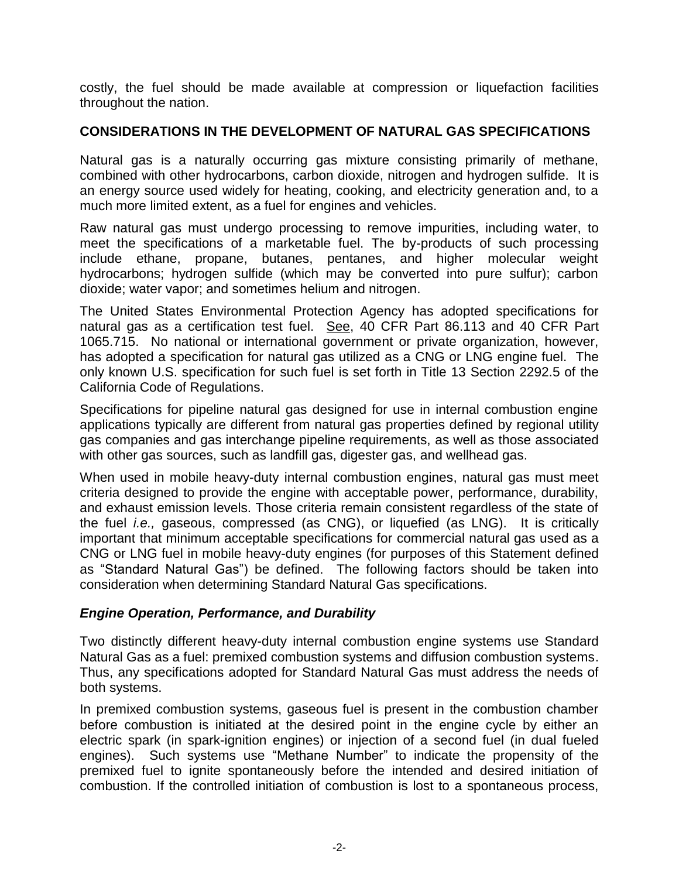costly, the fuel should be made available at compression or liquefaction facilities throughout the nation.

### **CONSIDERATIONS IN THE DEVELOPMENT OF NATURAL GAS SPECIFICATIONS**

Natural gas is a naturally occurring gas mixture consisting primarily of methane, combined with other hydrocarbons, carbon dioxide, nitrogen and hydrogen sulfide. It is an energy source used widely for heating, cooking, and electricity generation and, to a much more limited extent, as a fuel for engines and vehicles.

Raw natural gas must undergo processing to remove impurities, including water, to meet the specifications of a marketable fuel. The by-products of such processing include ethane, propane, butanes, pentanes, and higher molecular weight hydrocarbons; hydrogen sulfide (which may be converted into pure sulfur); carbon dioxide; water vapor; and sometimes helium and nitrogen.

The United States Environmental Protection Agency has adopted specifications for natural gas as a certification test fuel. See, 40 CFR Part 86.113 and 40 CFR Part 1065.715. No national or international government or private organization, however, has adopted a specification for natural gas utilized as a CNG or LNG engine fuel. The only known U.S. specification for such fuel is set forth in Title 13 Section 2292.5 of the California Code of Regulations.

Specifications for pipeline natural gas designed for use in internal combustion engine applications typically are different from natural gas properties defined by regional utility gas companies and gas interchange pipeline requirements, as well as those associated with other gas sources, such as landfill gas, digester gas, and wellhead gas.

When used in mobile heavy-duty internal combustion engines, natural gas must meet criteria designed to provide the engine with acceptable power, performance, durability, and exhaust emission levels. Those criteria remain consistent regardless of the state of the fuel *i.e.,* gaseous, compressed (as CNG), or liquefied (as LNG). It is critically important that minimum acceptable specifications for commercial natural gas used as a CNG or LNG fuel in mobile heavy-duty engines (for purposes of this Statement defined as "Standard Natural Gas") be defined. The following factors should be taken into consideration when determining Standard Natural Gas specifications.

#### *Engine Operation, Performance, and Durability*

Two distinctly different heavy-duty internal combustion engine systems use Standard Natural Gas as a fuel: premixed combustion systems and diffusion combustion systems. Thus, any specifications adopted for Standard Natural Gas must address the needs of both systems.

In premixed combustion systems, gaseous fuel is present in the combustion chamber before combustion is initiated at the desired point in the engine cycle by either an electric spark (in spark-ignition engines) or injection of a second fuel (in dual fueled engines). Such systems use "Methane Number" to indicate the propensity of the premixed fuel to ignite spontaneously before the intended and desired initiation of combustion. If the controlled initiation of combustion is lost to a spontaneous process,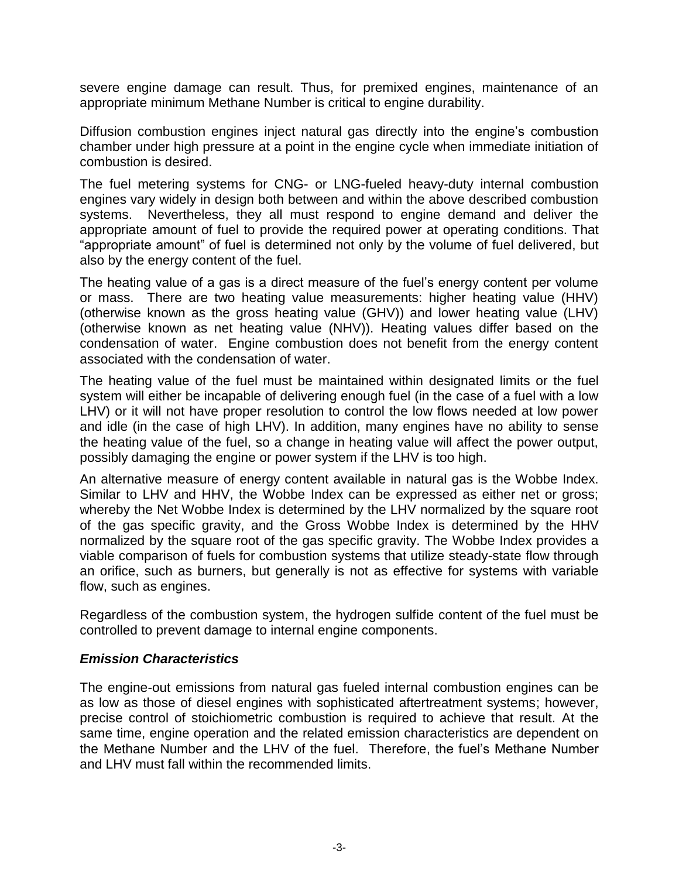severe engine damage can result. Thus, for premixed engines, maintenance of an appropriate minimum Methane Number is critical to engine durability.

Diffusion combustion engines inject natural gas directly into the engine's combustion chamber under high pressure at a point in the engine cycle when immediate initiation of combustion is desired.

The fuel metering systems for CNG- or LNG-fueled heavy-duty internal combustion engines vary widely in design both between and within the above described combustion systems. Nevertheless, they all must respond to engine demand and deliver the appropriate amount of fuel to provide the required power at operating conditions. That "appropriate amount" of fuel is determined not only by the volume of fuel delivered, but also by the energy content of the fuel.

The heating value of a gas is a direct measure of the fuel's energy content per volume or mass. There are two heating value measurements: higher heating value (HHV) (otherwise known as the gross heating value (GHV)) and lower heating value (LHV) (otherwise known as net heating value (NHV)). Heating values differ based on the condensation of water. Engine combustion does not benefit from the energy content associated with the condensation of water.

The heating value of the fuel must be maintained within designated limits or the fuel system will either be incapable of delivering enough fuel (in the case of a fuel with a low LHV) or it will not have proper resolution to control the low flows needed at low power and idle (in the case of high LHV). In addition, many engines have no ability to sense the heating value of the fuel, so a change in heating value will affect the power output, possibly damaging the engine or power system if the LHV is too high.

An alternative measure of energy content available in natural gas is the Wobbe Index. Similar to LHV and HHV, the Wobbe Index can be expressed as either net or gross; whereby the Net Wobbe Index is determined by the LHV normalized by the square root of the gas specific gravity, and the Gross Wobbe Index is determined by the HHV normalized by the square root of the gas specific gravity. The Wobbe Index provides a viable comparison of fuels for combustion systems that utilize steady-state flow through an orifice, such as burners, but generally is not as effective for systems with variable flow, such as engines.

Regardless of the combustion system, the hydrogen sulfide content of the fuel must be controlled to prevent damage to internal engine components.

#### *Emission Characteristics*

The engine-out emissions from natural gas fueled internal combustion engines can be as low as those of diesel engines with sophisticated aftertreatment systems; however, precise control of stoichiometric combustion is required to achieve that result. At the same time, engine operation and the related emission characteristics are dependent on the Methane Number and the LHV of the fuel. Therefore, the fuel's Methane Number and LHV must fall within the recommended limits.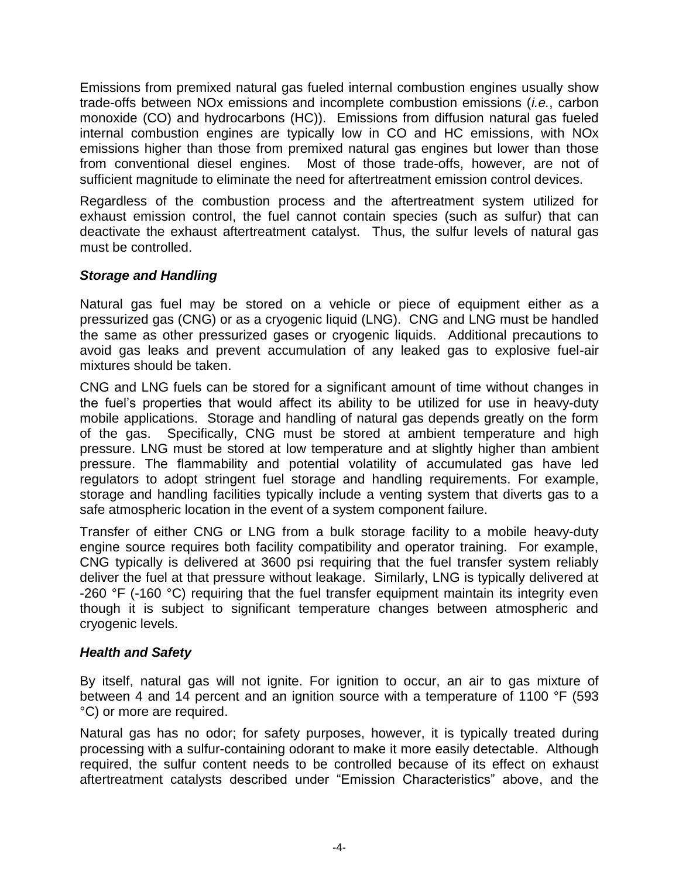Emissions from premixed natural gas fueled internal combustion engines usually show trade-offs between NOx emissions and incomplete combustion emissions (*i.e.*, carbon monoxide (CO) and hydrocarbons (HC)). Emissions from diffusion natural gas fueled internal combustion engines are typically low in CO and HC emissions, with NOx emissions higher than those from premixed natural gas engines but lower than those from conventional diesel engines. Most of those trade-offs, however, are not of sufficient magnitude to eliminate the need for aftertreatment emission control devices.

Regardless of the combustion process and the aftertreatment system utilized for exhaust emission control, the fuel cannot contain species (such as sulfur) that can deactivate the exhaust aftertreatment catalyst. Thus, the sulfur levels of natural gas must be controlled.

### *Storage and Handling*

Natural gas fuel may be stored on a vehicle or piece of equipment either as a pressurized gas (CNG) or as a cryogenic liquid (LNG). CNG and LNG must be handled the same as other pressurized gases or cryogenic liquids. Additional precautions to avoid gas leaks and prevent accumulation of any leaked gas to explosive fuel-air mixtures should be taken.

CNG and LNG fuels can be stored for a significant amount of time without changes in the fuel's properties that would affect its ability to be utilized for use in heavy-duty mobile applications. Storage and handling of natural gas depends greatly on the form of the gas. Specifically, CNG must be stored at ambient temperature and high pressure. LNG must be stored at low temperature and at slightly higher than ambient pressure. The flammability and potential volatility of accumulated gas have led regulators to adopt stringent fuel storage and handling requirements. For example, storage and handling facilities typically include a venting system that diverts gas to a safe atmospheric location in the event of a system component failure.

Transfer of either CNG or LNG from a bulk storage facility to a mobile heavy-duty engine source requires both facility compatibility and operator training. For example, CNG typically is delivered at 3600 psi requiring that the fuel transfer system reliably deliver the fuel at that pressure without leakage. Similarly, LNG is typically delivered at -260 °F (-160 °C) requiring that the fuel transfer equipment maintain its integrity even though it is subject to significant temperature changes between atmospheric and cryogenic levels.

# *Health and Safety*

By itself, natural gas will not ignite. For ignition to occur, an air to gas mixture of between 4 and 14 percent and an ignition source with a temperature of 1100 °F (593) °C) or more are required.

Natural gas has no odor; for safety purposes, however, it is typically treated during processing with a sulfur-containing odorant to make it more easily detectable. Although required, the sulfur content needs to be controlled because of its effect on exhaust aftertreatment catalysts described under "Emission Characteristics" above, and the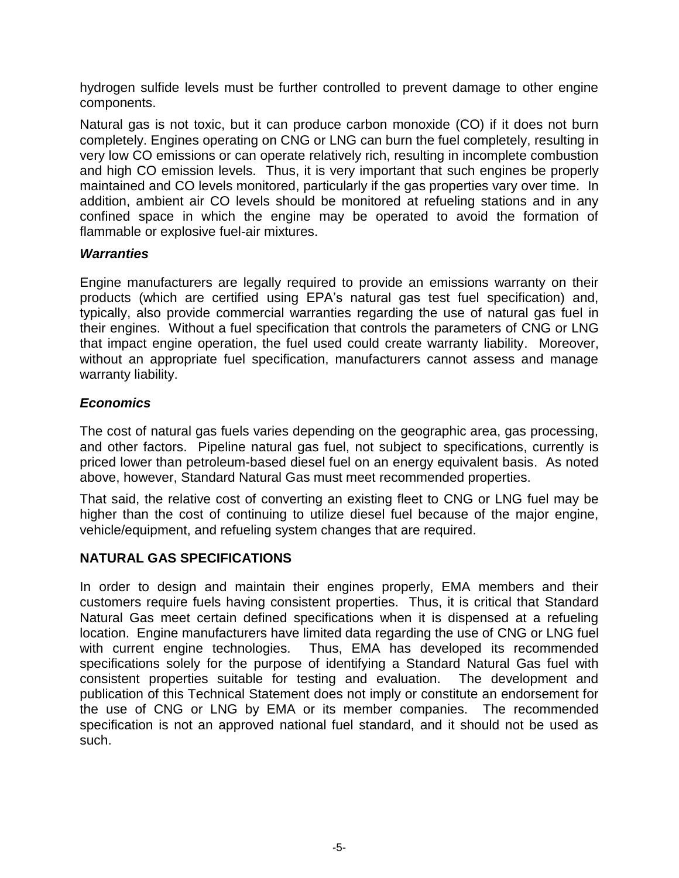hydrogen sulfide levels must be further controlled to prevent damage to other engine components.

Natural gas is not toxic, but it can produce carbon monoxide (CO) if it does not burn completely. Engines operating on CNG or LNG can burn the fuel completely, resulting in very low CO emissions or can operate relatively rich, resulting in incomplete combustion and high CO emission levels. Thus, it is very important that such engines be properly maintained and CO levels monitored, particularly if the gas properties vary over time. In addition, ambient air CO levels should be monitored at refueling stations and in any confined space in which the engine may be operated to avoid the formation of flammable or explosive fuel-air mixtures.

#### *Warranties*

Engine manufacturers are legally required to provide an emissions warranty on their products (which are certified using EPA's natural gas test fuel specification) and, typically, also provide commercial warranties regarding the use of natural gas fuel in their engines. Without a fuel specification that controls the parameters of CNG or LNG that impact engine operation, the fuel used could create warranty liability. Moreover, without an appropriate fuel specification, manufacturers cannot assess and manage warranty liability.

### *Economics*

The cost of natural gas fuels varies depending on the geographic area, gas processing, and other factors. Pipeline natural gas fuel, not subject to specifications, currently is priced lower than petroleum-based diesel fuel on an energy equivalent basis. As noted above, however, Standard Natural Gas must meet recommended properties.

That said, the relative cost of converting an existing fleet to CNG or LNG fuel may be higher than the cost of continuing to utilize diesel fuel because of the major engine, vehicle/equipment, and refueling system changes that are required.

#### **NATURAL GAS SPECIFICATIONS**

In order to design and maintain their engines properly, EMA members and their customers require fuels having consistent properties. Thus, it is critical that Standard Natural Gas meet certain defined specifications when it is dispensed at a refueling location. Engine manufacturers have limited data regarding the use of CNG or LNG fuel with current engine technologies. Thus, EMA has developed its recommended specifications solely for the purpose of identifying a Standard Natural Gas fuel with consistent properties suitable for testing and evaluation. The development and publication of this Technical Statement does not imply or constitute an endorsement for the use of CNG or LNG by EMA or its member companies. The recommended specification is not an approved national fuel standard, and it should not be used as such.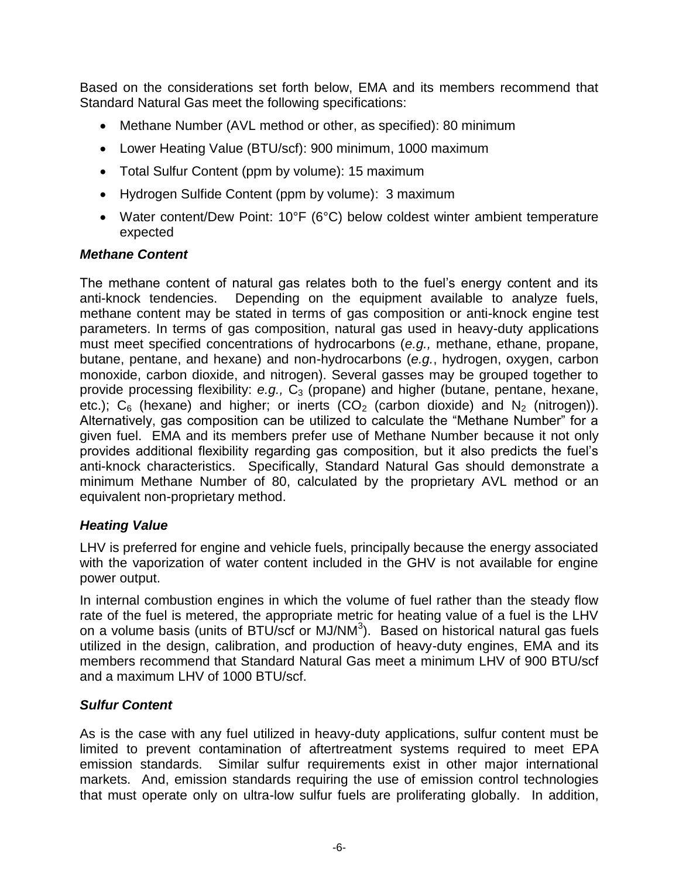Based on the considerations set forth below, EMA and its members recommend that Standard Natural Gas meet the following specifications:

- Methane Number (AVL method or other, as specified): 80 minimum
- Lower Heating Value (BTU/scf): 900 minimum, 1000 maximum
- Total Sulfur Content (ppm by volume): 15 maximum
- Hydrogen Sulfide Content (ppm by volume): 3 maximum
- Water content/Dew Point: 10°F (6°C) below coldest winter ambient temperature expected

# *Methane Content*

The methane content of natural gas relates both to the fuel's energy content and its anti-knock tendencies. Depending on the equipment available to analyze fuels, methane content may be stated in terms of gas composition or anti-knock engine test parameters. In terms of gas composition, natural gas used in heavy-duty applications must meet specified concentrations of hydrocarbons (*e.g.,* methane, ethane, propane, butane, pentane, and hexane) and non-hydrocarbons (*e.g.*, hydrogen, oxygen, carbon monoxide, carbon dioxide, and nitrogen). Several gasses may be grouped together to provide processing flexibility: *e.g.*, C<sub>3</sub> (propane) and higher (butane, pentane, hexane, etc.);  $C_6$  (hexane) and higher; or inerts (CO<sub>2</sub> (carbon dioxide) and N<sub>2</sub> (nitrogen)). Alternatively, gas composition can be utilized to calculate the "Methane Number" for a given fuel. EMA and its members prefer use of Methane Number because it not only provides additional flexibility regarding gas composition, but it also predicts the fuel's anti-knock characteristics. Specifically, Standard Natural Gas should demonstrate a minimum Methane Number of 80, calculated by the proprietary AVL method or an equivalent non-proprietary method.

# *Heating Value*

LHV is preferred for engine and vehicle fuels, principally because the energy associated with the vaporization of water content included in the GHV is not available for engine power output.

In internal combustion engines in which the volume of fuel rather than the steady flow rate of the fuel is metered, the appropriate metric for heating value of a fuel is the LHV on a volume basis (units of BTU/scf or MJ/NM $3$ ). Based on historical natural gas fuels utilized in the design, calibration, and production of heavy-duty engines, EMA and its members recommend that Standard Natural Gas meet a minimum LHV of 900 BTU/scf and a maximum LHV of 1000 BTU/scf.

# *Sulfur Content*

As is the case with any fuel utilized in heavy-duty applications, sulfur content must be limited to prevent contamination of aftertreatment systems required to meet EPA emission standards. Similar sulfur requirements exist in other major international markets. And, emission standards requiring the use of emission control technologies that must operate only on ultra-low sulfur fuels are proliferating globally. In addition,